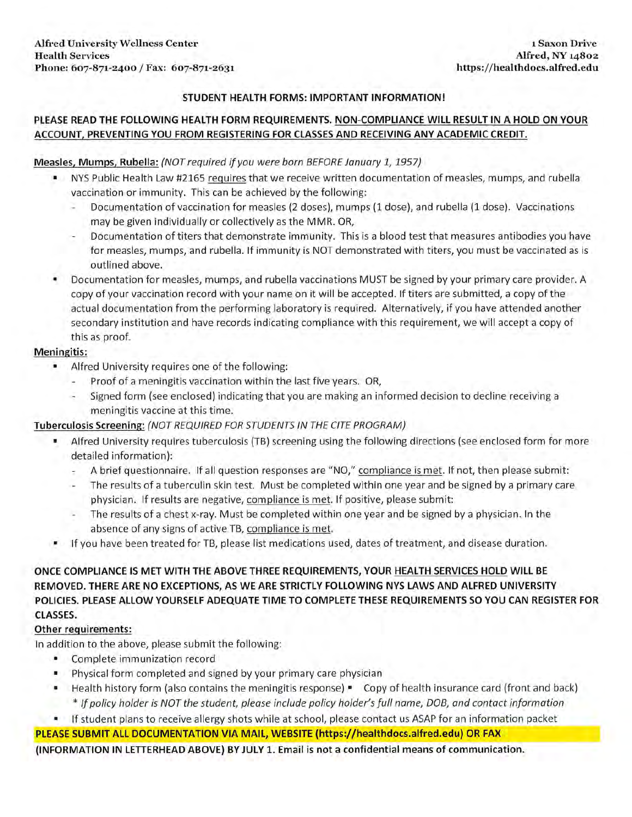### **STUDENT HEALTH FORMS: IMPORTANT INFORMATION!**

### **PLEASE READ THE FOLLOWING HEALTH FORM REQUIREMENTS. NON-COMPLIANCE WILL RESULT IN A HOLD ON YOUR ACCOUNT, PREVENTING YOU FROM REGISTERING FOR CLASSES AND RECEIVING ANY ACADEMIC CREDIT.**

### **Measles, Mumps, Rubella:** (NOT required if you were born BEFORE January 1, 1957)

- NYS Public Health Law #2165 requires that we receive written documentation of measles, mumps, and rubella vaccination or immunity. This can be achieved by the following:
	- Documentation of vaccination for measles (2 doses), mumps (1 dose), and rubella (1 dose). Vaccinations may be given individually or collectively as the MMR. OR,
	- Documentation of titers that demonstrate immunity. This is a blood test that measures antibodies you have for measles, mumps, and rubella. If immunity is NOT demonstrated with titers, you must be vaccinated as is outlined above.
- Documentation for measles, mumps, and rubella vaccinations MUST be signed by your primary care provider. A copy of your vaccination record with your name on it will be accepted. If titers are submitted, a copy of the actual documentation from the performing laboratory is required. Alternatively, if you have attended another secondary institution and have records indicating compliance with this requirement, we will accept a copy of this as proof.

#### **Meningitis:**

- Alfred University requires one of the following:
	- Proof of a meningitis vaccination within the last five years. OR,
	- Signed form (see enclosed) indicating that you are making an informed decision to decline receiving a meningitis vaccine at this time.

### **Tuberculosis Screening:** {NOT REQUIRED FOR STUDENTS IN THE CITE PROGRAM)

- Alfred University requires tuberculosis (TB) screening using the following directions (see enclosed form for more detailed information):
	- A brief questionnaire. If all question responses are "NO," compliance is met. If not, then please submit:
	- The results of a tuberculin skin test. Must be completed within one year and be signed by a primary care physician. If results are negative, compliance is met. If positive, please submit:
	- The results of a chest x-ray. Must be completed within one year and be signed by a physician. In the absence of any signs of active TB, compliance is met.
- If you have been treated for TB, please list medications used, dates of treatment, and disease duration.

### **ONCE COMPLIANCE IS MET WITH THE ABOVE THREE REQUIREMENTS, YOUR HEALTH SERVICES HOLD WILL BE REMOVED. THERE ARE NO EXCEPTIONS, AS WE ARE STRICTLY FOLLOWING NYS LAWS AND ALFRED UNIVERSITY POLICIES. PLEASE ALLOW YOURSELF ADEQUATE TIME TO COMPLETE THESE REQUIREMENTS SO YOU CAN REGISTER FOR CLASSES.**

### **Other requirements:**

In addition to the above, please submit the following:

- Complete immunization record
- Physical form completed and signed by your primary care physician
- Health history form (also contains the meningitis response) Copy of health insurance card (front and back) \* If policy holder is NOT the student, please include policy holder's full name, DOB, and contact information
- If student plans to receive allergy shots while at school, please contact us ASAP for an information packet

### **PLEASE SUBMIT ALL DOCUMENTATION VIA MAIL, WEBSITE (<https://healthdocs.alfred.edu>) OR FAX**

**(INFORMATION IN LETTERHEAD ABOVE) BY JULY 1. Email is not a confidential means of communication.**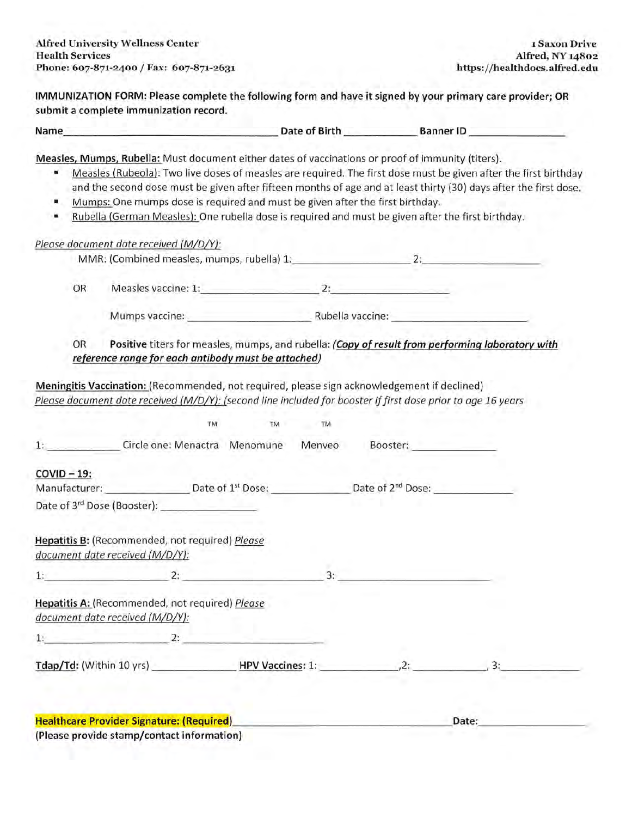**IMMUNIZATION FORM: Please complete the following form and have it signed by your primary care provider; OR submit a complete immunization record.** 

| Name | Date of Birth | <b>Banner ID</b> |  |
|------|---------------|------------------|--|
|      |               |                  |  |

**Measles, Mumps, Rubella:** Must document either dates of vaccinations or proof of immunity (titers).

- Measles (Rubeola): Two live doses of measles are required. The first dose must be given after the first birthday and the second dose must be given after fifteen months of age and at least thirty (30) days after the first dose.
- Mumps: One mumps dose is required and must be given after the first birthday.
- Rubella (German Measles): One rubella dose is required and must be given after the first birthday.

|             | MMR: (Combined measles, mumps, rubella) 1: 2: 2:                                                                                                                                                             |    |    |                 |       |
|-------------|--------------------------------------------------------------------------------------------------------------------------------------------------------------------------------------------------------------|----|----|-----------------|-------|
| OR          | Measles vaccine: 1: 2:                                                                                                                                                                                       |    |    |                 |       |
|             | Mumps vaccine: Number 2012 Number 2013 Number 2014 Number 2014 Number 2014 Number 2014 Number 2014 Number 2014                                                                                               |    |    |                 |       |
| OR          | Positive titers for measles, mumps, and rubella: (Copy of result from performing laboratory with<br>reference range for each antibody must be attached)                                                      |    |    |                 |       |
|             | Meningitis Vaccination: (Recommended, not required, please sign acknowledgement if declined)<br>Please document date received (M/D/Y): (second line included for booster if first dose prior to age 16 years |    |    |                 |       |
|             | TM                                                                                                                                                                                                           | TM | TM |                 |       |
|             | 1: Circle one: Menactra Menomune                                                                                                                                                                             |    |    | Menveo Booster: |       |
| $COVID-19:$ |                                                                                                                                                                                                              |    |    |                 |       |
|             | Manufacturer: Date of 1 <sup>st</sup> Dose: Date of 2 <sup>nd</sup> Dose:                                                                                                                                    |    |    |                 |       |
|             |                                                                                                                                                                                                              |    |    |                 |       |
|             | Hepatitis B: (Recommended, not required) Please<br>document date received (M/D/Y):                                                                                                                           |    |    |                 |       |
|             | $1:$ $2:$ $3:$                                                                                                                                                                                               |    |    |                 |       |
|             | Hepatitis A: (Recommended, not required) Please<br>document date received (M/D/Y):                                                                                                                           |    |    |                 |       |
|             | $1.$ $2.$                                                                                                                                                                                                    |    |    |                 |       |
|             | Tdap/Td: (Within 10 yrs) HPV Vaccines: 1: 2: 2: 2: 2: 2:                                                                                                                                                     |    |    |                 |       |
|             |                                                                                                                                                                                                              |    |    |                 |       |
|             |                                                                                                                                                                                                              |    |    |                 |       |
|             | <b>Healthcare Provider Signature: (Required)</b>                                                                                                                                                             |    |    |                 | Date: |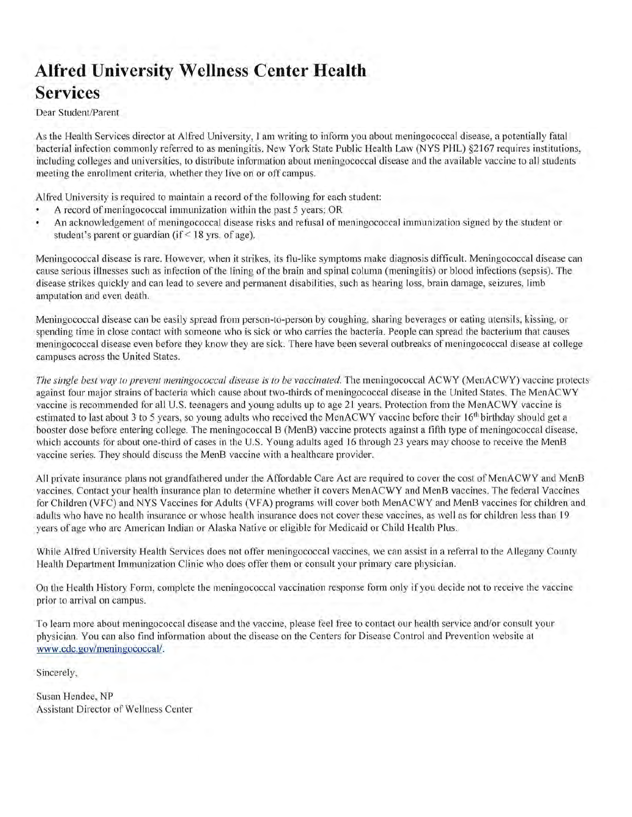# **Alfred University Wellness Center Health Services**

Dear Student/Parent

As the Health Services director at Alfred University, I am writing to inform you about meningococcal disease, a potentially fatal bacterial infection commonly referred to as meningitis. New York State Public Health Law (NYS PHL) §2167 requires institutions, including colleges and universities, to distribute infonnation about meningococcal disease and the available vaccine to all students meeting the enrollment criteria, whether they live on or off campus.

Alfred University is required to maintain a record of the following for each student:

- A record of meningococcal immunization within the past 5 years; OR
- An acknowledgement of meningococcal disease risks and refusal of meningococcal immunization signed by the student or student's parent or guardian (if < 18 yrs. of age).

Meningococcal disease is rare. However, when it strikes, its flu-like symptoms make diagnosis difficult. Meningococcal disease can cause serious illnesses such as infection of the lining of the brain and spinal column (meningitis) or blood infections (sepsis). The disease strikes quickly and can lead to severe and permanent disabilities, such as hearing loss, brain damage, seizures, limb amputation and even death.

Meningococcal disease can be easily spread from person-to-person by coughing, sharing beverages or eating utensils, kissing, or spending time in close contact with someone who is sick or who carries the bacteria. People can spread the bacterium that causes meningococcal disease even before they know they are sick. There have been several outbreaks of meningococcal disease at college campuses across the United States.

The single best way to prevent meningococcal disease is to be vaccinated. The meningococcal ACWY (MenACWY) vaccine protects against four major strains of bacteria which cause about two-thirds of meningococcal disease in the United States. The MenACWY vaccine is recommended for all U.S. teenagers and young adults up to age 21 years. Protection from the MenACWY vaccine is estimated to last about 3 to 5 years, so young adults who received the MenACWY vaccine before their 16<sup>th</sup> birthday should get a booster dose before entering college. The meningococcal B (MenB) vaccine protects against a fifth type of meningococcal disease, which accounts for about one-third of cases in the U.S. Young adults aged 16 through 23 years may choose to receive the MenB vaccine series. They should discuss the MenB vaccine with a healthcare provider.

All private insurance plans not grandfathered under the Affordable Care Act are required to cover the cost of MenACWY and MenB vaccines. Contact your health insurance plan to determine whether it covers MenACWY and MenB vaccines. The federal Vaccines for Children (VFC) and NYS Vaccines for Adults (VFA) programs will cover both MenACWY and MenB vaccines for children and adults who have no health insurance or whose health insurance does not cover these vaccines, as well as for children less than 19 years of age who are American Indian or Alaska Native or eligible for Medicaid or Child Health Plus.

While Alfred University Health Services does not offer meningococcal vaccines, we can assist in a referral to the Allegany County Health Department Immunization Clinic who does offer them or consult your primary care physician.

On the Health History Form, complete the meningococcal vaccination response form only if you decide not to receive the vaccine prior to arrival on campus.

To learn more about meningococcal disease and the vaccine, please feel free to contact our health service and/or consult your physician. You can also find information about the disease on the Centers for Disease Control and Prevention website at www.[cdc.gov/meningococcal/](https://cdc.gov/meningococcal).

Sincerely,

Susan Hendee, NP Assistant Director of Wellness Center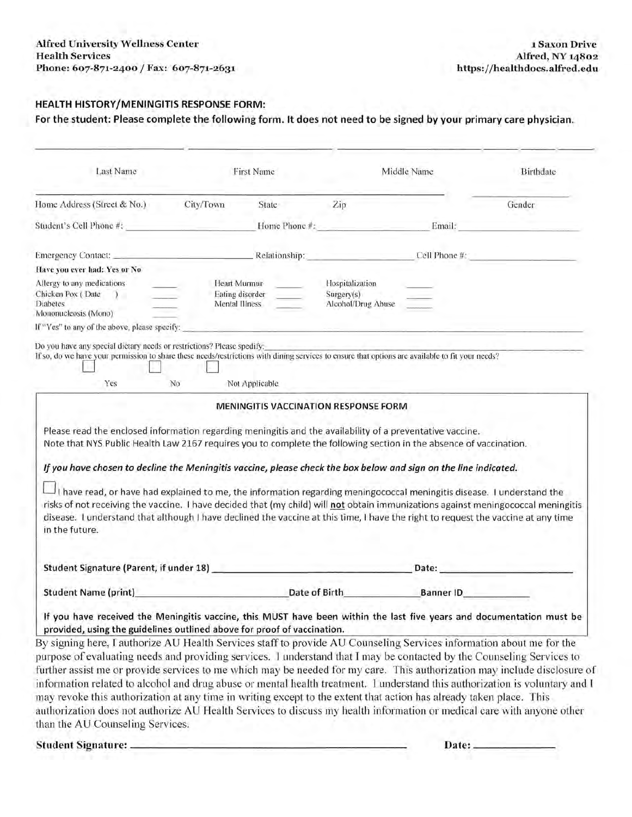### **HEALTH HISTORY/MENINGITIS RESPONSE FORM:**

**For the student: Please complete the following form. It does not need to be signed by your primary care physician.** 

| Last Name                                                                                                                                                                                                                                                                                                                                                                                                                                                                                                                                                                                                                                                                                                                                                                                                                                                                                                                                                                                            |                                 | <b>First Name</b>               |                                                     | Middle Name                 | Birthdate |
|------------------------------------------------------------------------------------------------------------------------------------------------------------------------------------------------------------------------------------------------------------------------------------------------------------------------------------------------------------------------------------------------------------------------------------------------------------------------------------------------------------------------------------------------------------------------------------------------------------------------------------------------------------------------------------------------------------------------------------------------------------------------------------------------------------------------------------------------------------------------------------------------------------------------------------------------------------------------------------------------------|---------------------------------|---------------------------------|-----------------------------------------------------|-----------------------------|-----------|
| Home Address (Street & No.)                                                                                                                                                                                                                                                                                                                                                                                                                                                                                                                                                                                                                                                                                                                                                                                                                                                                                                                                                                          | City/Town                       | State                           | Zip                                                 |                             | Gender    |
| Student's Cell Phone #:                                                                                                                                                                                                                                                                                                                                                                                                                                                                                                                                                                                                                                                                                                                                                                                                                                                                                                                                                                              |                                 |                                 | Home Phone #:                                       | Email:                      |           |
| Emergency Contact: Relationship: Cell Phone #:                                                                                                                                                                                                                                                                                                                                                                                                                                                                                                                                                                                                                                                                                                                                                                                                                                                                                                                                                       |                                 |                                 |                                                     |                             |           |
| Have you ever had: Yes or No                                                                                                                                                                                                                                                                                                                                                                                                                                                                                                                                                                                                                                                                                                                                                                                                                                                                                                                                                                         |                                 |                                 |                                                     |                             |           |
| Allergy to any medications<br>Chicken Pox (Date<br>$\lambda$<br>Diabetes<br>Mononucleosis (Mono)                                                                                                                                                                                                                                                                                                                                                                                                                                                                                                                                                                                                                                                                                                                                                                                                                                                                                                     | Mental Illness                  | Heart Murmur<br>Eating disorder | Hospitalization<br>Surgery(s)<br>Alcohol/Drug Abuse |                             |           |
| If "Yes" to any of the above, please specify:                                                                                                                                                                                                                                                                                                                                                                                                                                                                                                                                                                                                                                                                                                                                                                                                                                                                                                                                                        |                                 |                                 |                                                     |                             |           |
| Do you have any special dictary needs or restrictions? Please spedify:<br>If so, do we have your permission to share these needs/restrictions with dining services to ensure that options are available to fit your needs?<br>Yes                                                                                                                                                                                                                                                                                                                                                                                                                                                                                                                                                                                                                                                                                                                                                                    | No                              | Not Applicable                  |                                                     |                             |           |
| Please read the enclosed information regarding meningitis and the availability of a preventative vaccine.<br>Note that NYS Public Health Law 2167 requires you to complete the following section in the absence of vaccination.<br>If you have chosen to decline the Meningitis vaccine, please check the box below and sign on the line indicated.<br>$\Box$ I have read, or have had explained to me, the information regarding meningococcal meningitis disease. I understand the<br>risks of not receiving the vaccine. I have decided that (my child) will not obtain immunizations against meningococcal meningitis<br>disease. I understand that although I have declined the vaccine at this time, I have the right to request the vaccine at any time<br>in the future.                                                                                                                                                                                                                     |                                 |                                 |                                                     |                             |           |
|                                                                                                                                                                                                                                                                                                                                                                                                                                                                                                                                                                                                                                                                                                                                                                                                                                                                                                                                                                                                      |                                 |                                 |                                                     | Date:                       |           |
| <b>Student Name (print)</b>                                                                                                                                                                                                                                                                                                                                                                                                                                                                                                                                                                                                                                                                                                                                                                                                                                                                                                                                                                          | <b>Example 20 Date of Birth</b> |                                 |                                                     | <b>Example 10</b> Banner ID |           |
| If you have received the Meningitis vaccine, this MUST have been within the last five years and documentation must be<br>provided, using the guidelines outlined above for proof of vaccination.<br>By signing here, I authorize AU Health Services staff to provide AU Counseling Services information about me for the<br>purpose of evaluating needs and providing services. I understand that I may be contacted by the Counseling Services to<br>further assist me or provide services to me which may be needed for my care. This authorization may include disclosure of<br>information related to alcohol and drug abuse or mental health treatment. 1 understand this authorization is voluntary and I<br>may revoke this authorization at any time in writing except to the extent that action has already taken place. This<br>authorization does not authorize AU Health Services to discuss my health information or medical care with anyone other<br>than the AU Counseling Services. |                                 |                                 |                                                     |                             |           |
|                                                                                                                                                                                                                                                                                                                                                                                                                                                                                                                                                                                                                                                                                                                                                                                                                                                                                                                                                                                                      |                                 |                                 |                                                     | Date:                       |           |
|                                                                                                                                                                                                                                                                                                                                                                                                                                                                                                                                                                                                                                                                                                                                                                                                                                                                                                                                                                                                      |                                 |                                 |                                                     |                             |           |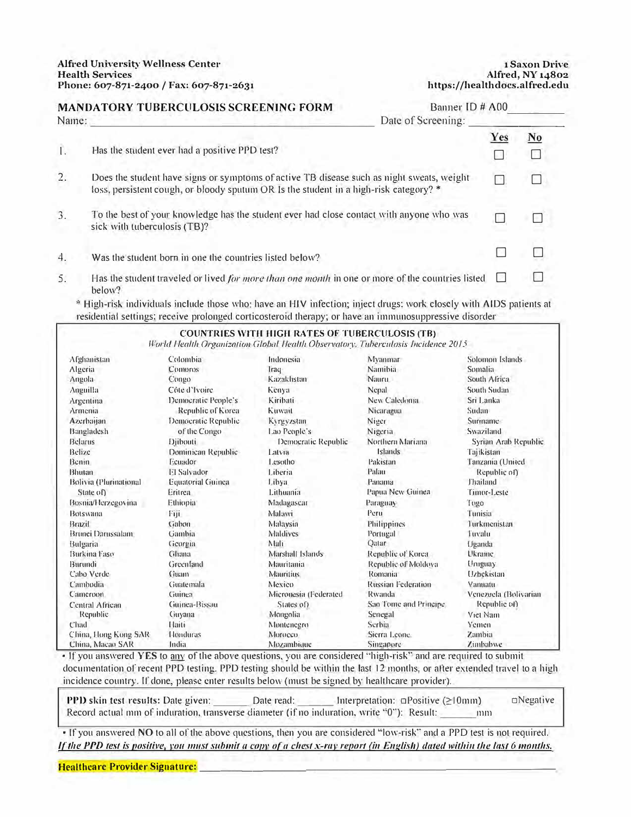#### **MANDATORY TUBERCULOSIS SCREENING FORM**  Banner ID # A00 Name: Date of Screening: ---------------------------- Yes No I. Has the student ever had a positive PPD test? □ □ 2. Does the student have signs or symptoms of nctive TB disease such as night sweats, weight □ □ loss, persistent cough, or bloody sputum OR Is the student in a high-risk category? \* To the best of your knowledge has the student ever had close contact with anyone who was 3. □ □ sick with tuberculosis (TB)? □ □ Was the student born in one the countries listed below? 4. Has the student traveled or lived *for more than one month* in one or more of the countries listed  $\Box$ 5. □ below?

\* High-risk individuals include those who: have an HIV infection; inject drugs; work closely with AIDS patients at residential settings; receive prolonged corticosteroid therapy; or have an immunosuppressive disorder

|                        |                          | <b>COUNTRIES WITH HIGH RATES OF TUBERCULOSIS (TB)</b><br>World Health Organization Global Health Observatory, Tuberculosis Incidence 2015 |                           |                       |
|------------------------|--------------------------|-------------------------------------------------------------------------------------------------------------------------------------------|---------------------------|-----------------------|
| Afghanistan            | Colombia                 | Indonesia                                                                                                                                 | Myanmar                   | Solomon Islands       |
| Algeria                | Comoros                  | Iraq                                                                                                                                      | Namibia                   | Somalia               |
| Angola                 | Congo                    | Kazakhstan                                                                                                                                | Nauru                     | South Africa          |
| Anguilla               | Côte d'Ivoire            | Kenya                                                                                                                                     | Nepal                     | South Sudan           |
| Argentina              | Democratic People's      | Kiribati                                                                                                                                  | New Caledonia             | Sri Lanka             |
| Armenia                | Republic of Korea        | Kuwait                                                                                                                                    | Nicaragua                 | Sudan                 |
| <b>Azerbaijan</b>      | Democratic Republic      | Kyrgyzstan                                                                                                                                | Niger                     | Suriname              |
| Bangladesh             | of the Congo             | Lao People's                                                                                                                              | Nigeria                   | Swaziland             |
| Belarus                | <b>Djibouti</b>          | Democratic Republic                                                                                                                       | Northern Mariana          | Syrian Arab Republic  |
| Belize                 | Dominican Republic       | Latvia                                                                                                                                    | <b>Islands</b>            | Tajikistan            |
| Benin.                 | Ecuador                  | Lesotho                                                                                                                                   | Pakistan                  | Tanzania (United      |
| Bhutan                 | El Salvador              | Liberia                                                                                                                                   | Palau                     | Republic of)          |
| Bolivia (Plurinational | <b>Equatorial Guinea</b> | Libya                                                                                                                                     | Panama                    | Thailand              |
| State $o0$             | Eritrea                  | Lithuania                                                                                                                                 | Papua New Guinea          | Timor-Leste           |
| Bosnia/Herzegovina     | Ethiopia                 | Madagascar                                                                                                                                | Paraguay                  | Tugo                  |
| <b>Botswana</b>        | Fiji                     | Malawi                                                                                                                                    | Peru                      | Tunisia               |
| Brazil                 | Gabon                    | Malaysia                                                                                                                                  | Philippines               | Turkmenistan          |
| Brunei Darussalam      | Gambia                   | Maldives                                                                                                                                  | Portugal                  | Tuvalu                |
| Bulgaria               | Georgia                  | Mali                                                                                                                                      | Qatar                     | Uganda                |
| Burkina Faso           | Ghana                    | Marshall Islands                                                                                                                          | Republic of Korea         | Ukraine               |
| Burundi                | Greenland                | Mauritania                                                                                                                                | Republic of Moldova       | Uruguay               |
| Cabo Verde             | Guam                     | <b>Mauritius</b>                                                                                                                          | Romania                   | Uzbekistan            |
| Cambodia               | Guatemala                | Mexico                                                                                                                                    | <b>Russian Federation</b> | Vanuatu               |
| Cameroon               | Guinea                   | Micronesia (Federated                                                                                                                     | Rwanda                    | Venezuela (Bolivarian |
| Central African        | Guinea-Bissau            | States of)                                                                                                                                | Sao Tome and Principe     | Republic of)          |
| Republic               | Guyana                   | Mongolia                                                                                                                                  | Senegal                   | Viet Nam              |
| Chad                   | <b>Haiti</b>             | Montenegro                                                                                                                                | Serbia                    | Yemen                 |
| China, Hong Kong SAR   | Honduras                 | Morocco                                                                                                                                   | Sierra Leone              | Zambia                |
| China, Macao SAR       | India                    | Mozambique                                                                                                                                | Singapore                 | Zimbabwe              |

• If you answered **YES** to any of the above questions, you are considered "high-risk" and are required to submit documentation of recent PPD testing. PPD testing should be within the last 12 months, or after extended travel to a high incidence country. If done, please enter results below (must be signed by healthcare provider).

**PPD skin test results:** Date given: \_\_\_\_\_\_ Date read: \_\_\_\_\_ Interpretation: □Positive (≥10mm) □Negative Record actual mm of induration, transverse diameter (if no induration, write "0"): Result: \_\_\_\_\_ 11111

• Tf you answered NO to all of the above questions, then you are considered "low-risk" and a PPO test is not required. If the PPD test is positive, you must submit a copy of a chest x-ray report (in English) dated within the last 6 months.

**Healthcare Provider Signature:**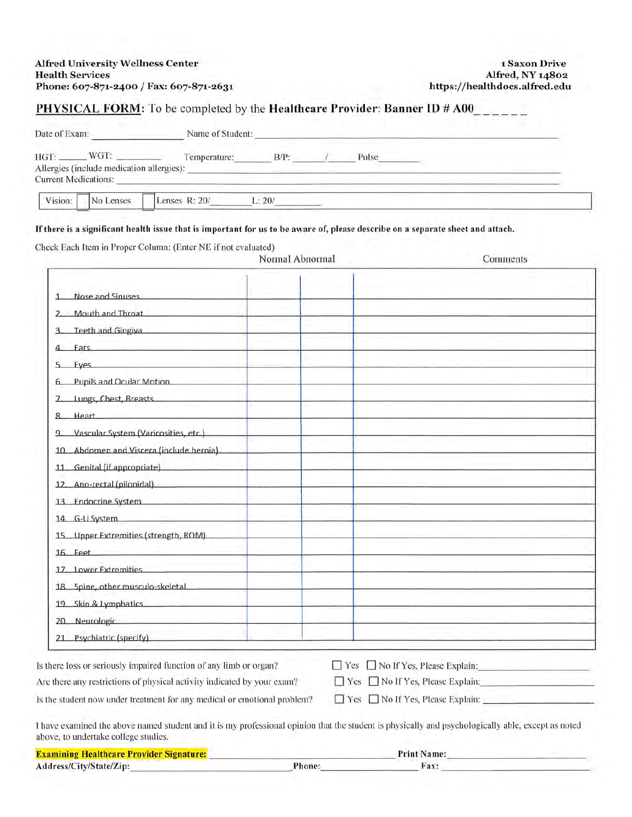# PHYSICAL FORM: To be completed by the **Healthcare Provider: Banner ID # A00\_\_\_\_\_\_**

|         | HGT: WGT: WGT: Temperature: B/P: / Pulse                                                                                                                                                                                                                      |                          |                                                                                                                                                    |
|---------|---------------------------------------------------------------------------------------------------------------------------------------------------------------------------------------------------------------------------------------------------------------|--------------------------|----------------------------------------------------------------------------------------------------------------------------------------------------|
|         | Allergies (include medication allergies): North and the state of the state of the state of the state of the state of the state of the state of the state of the state of the state of the state of the state of the state of t<br><b>Current Medications:</b> |                          |                                                                                                                                                    |
| Vision: | No Lenses                                                                                                                                                                                                                                                     | Lenses R: $20/$ L: $20/$ |                                                                                                                                                    |
|         | If there is a significant health issue that is important for us to be aware of, please describe on a separate sheet and attach.<br>Check Each Item in Proper Column: (Enter NE if not evaluated)                                                              | Normal Abnormal          | Comments                                                                                                                                           |
|         |                                                                                                                                                                                                                                                               |                          |                                                                                                                                                    |
| 1       | Nose and Sinuses                                                                                                                                                                                                                                              |                          |                                                                                                                                                    |
|         | Mouth and Throat                                                                                                                                                                                                                                              |                          |                                                                                                                                                    |
|         | Teeth and Gingiva                                                                                                                                                                                                                                             |                          |                                                                                                                                                    |
|         | <b>Ears Ears Ears Earth</b>                                                                                                                                                                                                                                   |                          |                                                                                                                                                    |
|         | Eyes and the company of the company of the company of the company of the company of the company of the company                                                                                                                                                |                          |                                                                                                                                                    |
|         | Pupils and Ocular Motion                                                                                                                                                                                                                                      |                          |                                                                                                                                                    |
|         | 7. Lungs, Chest, Breasts. 2006. 2007.                                                                                                                                                                                                                         |                          |                                                                                                                                                    |
|         | 8. Heart Communication of the Second State Communication of the Second State Communication of the Second State Communication of the Second State Communication of the Second State Communication of the Second State Communica                                |                          |                                                                                                                                                    |
|         | 9. Vascular System (Varicosities, etc.)                                                                                                                                                                                                                       |                          |                                                                                                                                                    |
|         | 10. Abdomen and Viscera (include hernia)                                                                                                                                                                                                                      |                          |                                                                                                                                                    |
|         | 11 Genital (if appropriate)                                                                                                                                                                                                                                   |                          |                                                                                                                                                    |
|         | 12. Ano-rectal (pilonidal)                                                                                                                                                                                                                                    |                          |                                                                                                                                                    |
|         | 13. Endocrine System <b>Example 2018</b>                                                                                                                                                                                                                      |                          |                                                                                                                                                    |
|         | 14. G-U System                                                                                                                                                                                                                                                |                          |                                                                                                                                                    |
|         | 15. Upper Extremities (strength, ROM)                                                                                                                                                                                                                         |                          |                                                                                                                                                    |
|         | 16 Feet Production Contract Production Contract Production Contract Production Contract Production Contract Pro                                                                                                                                               |                          |                                                                                                                                                    |
|         | 17. Lower Extremities                                                                                                                                                                                                                                         |                          |                                                                                                                                                    |
|         | 18. Spine, other musculo-skeletal                                                                                                                                                                                                                             |                          |                                                                                                                                                    |
|         | 19. Skin & Lymphatics                                                                                                                                                                                                                                         |                          |                                                                                                                                                    |
|         | 20 Neurologic <b>Service School School School School</b> School School School School School School School School School School School School School School School School School School School School School School School School Sc                           |                          |                                                                                                                                                    |
|         | 21 Psychiatric (specify) and the contract of the contract of the contract of the contract of the contract of the contract of the contract of the contract of the contract of the contract of the contract of the contract of t                                |                          |                                                                                                                                                    |
|         | Is there loss or seriously impaired function of any limb or organ?                                                                                                                                                                                            |                          | $\Box$ Yes $\Box$ No If Yes, Please Explain:                                                                                                       |
|         | Are there any restrictions of physical activity indicated by your exam?                                                                                                                                                                                       |                          | □ Yes □ No If Yes, Please Explain:                                                                                                                 |
|         | Is the student now under treatment for any medical or emotional problem?                                                                                                                                                                                      |                          |                                                                                                                                                    |
|         |                                                                                                                                                                                                                                                               |                          | I have examined the above named student and it is my professional opinion that the student is physically and psychologically able, except as noted |
|         | above, to undertake college studies.                                                                                                                                                                                                                          |                          |                                                                                                                                                    |

| <b>Examining Healthcare Provider Signature:</b> |       | Name:<br>Print |  |
|-------------------------------------------------|-------|----------------|--|
| Address/City/State/Zip:                         | 'hone |                |  |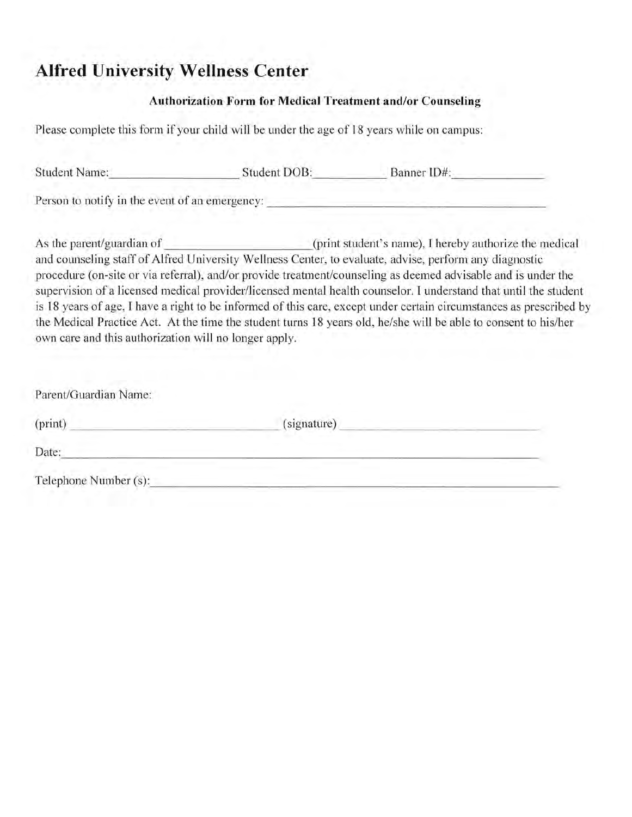# **Alfred University Wellness Center**

### **Authorization Form for Medical Treatment and/or Counseling**

Please complete this form if your child will be under the age of 18 years while on campus:

| <b>Student Name:</b>                           | Student DOB: | Banner ID#: |  |
|------------------------------------------------|--------------|-------------|--|
| Person to notify in the event of an emergency: |              |             |  |

As the parent/guardian of  $_{\text{print}$  (print student's name), I hereby authorize the medical and counseling staff of Alfred University Wellness Center, to evaluate, advise, perform any diagnostic procedure (on-site or via referral), and/or provide treatment/counseling as deemed advisable and is under the supervision of a licensed medical provider/licensed mental health counselor. I understand that until the student is 18 years of age, I have a right to be informed of this care, except under certain circumstances as prescribed by the Medical Practice Act. At the time the student turns 18 years old, he/she will be able to consent to his/her own care and this authorization will no longer apply.

| Parent/Guardian Name: |             |  |
|-----------------------|-------------|--|
| (print)               | (signature) |  |
| Date:                 |             |  |
| Telephone Number (s): |             |  |